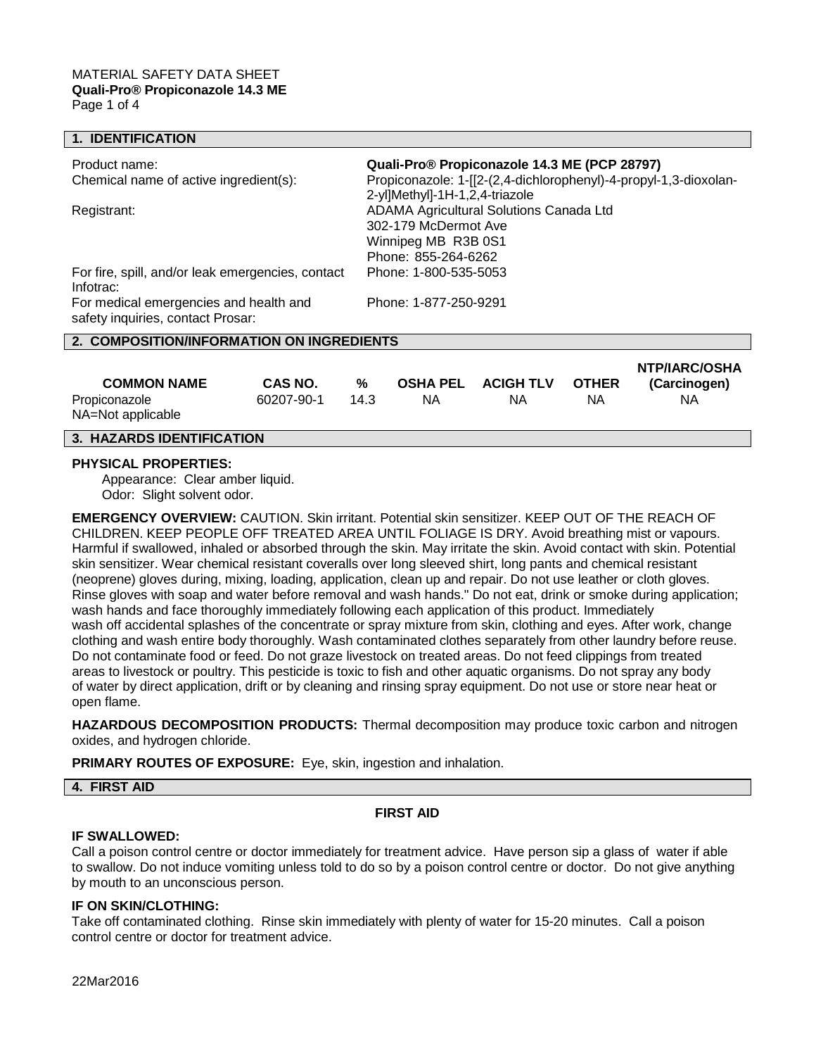#### **1. IDENTIFICATION**

| Product name:<br>Chemical name of active ingredient(s):                     | Quali-Pro® Propiconazole 14.3 ME (PCP 28797)<br>Propiconazole: 1-[[2-(2,4-dichlorophenyl)-4-propyl-1,3-dioxolan-<br>2-yl]Methyl]-1H-1,2,4-triazole |  |  |  |
|-----------------------------------------------------------------------------|----------------------------------------------------------------------------------------------------------------------------------------------------|--|--|--|
| Registrant:                                                                 | ADAMA Agricultural Solutions Canada Ltd<br>302-179 McDermot Ave<br>Winnipeg MB R3B 0S1<br>Phone: 855-264-6262                                      |  |  |  |
| For fire, spill, and/or leak emergencies, contact<br>Infotrac:              | Phone: 1-800-535-5053                                                                                                                              |  |  |  |
| For medical emergencies and health and<br>safety inquiries, contact Prosar: | Phone: 1-877-250-9291                                                                                                                              |  |  |  |
| 2. COMPOSITION/INFORMATION ON INGREDIENTS                                   |                                                                                                                                                    |  |  |  |
|                                                                             | <b>LITRALDOIA</b>                                                                                                                                  |  |  |  |

| <b>COMMON NAME</b>                 | <b>CAS NO.</b> | %    | <b>OSHA PEL</b> | <b>ACIGH TLV</b> | <b>OTHER</b> | <b>INTERNANTICAL</b><br>(Carcinogen) |
|------------------------------------|----------------|------|-----------------|------------------|--------------|--------------------------------------|
| Propiconazole<br>NA=Not applicable | 60207-90-1     | 14.3 | ΝA              | ΝA               | ΝA           | ΝA                                   |

# **3. HAZARDS IDENTIFICATION**

#### **PHYSICAL PROPERTIES:**

Appearance: Clear amber liquid. Odor: Slight solvent odor.

**EMERGENCY OVERVIEW:** CAUTION. Skin irritant. Potential skin sensitizer. KEEP OUT OF THE REACH OF CHILDREN. KEEP PEOPLE OFF TREATED AREA UNTIL FOLIAGE IS DRY. Avoid breathing mist or vapours. Harmful if swallowed, inhaled or absorbed through the skin. May irritate the skin. Avoid contact with skin. Potential skin sensitizer. Wear chemical resistant coveralls over long sleeved shirt, long pants and chemical resistant (neoprene) gloves during, mixing, loading, application, clean up and repair. Do not use leather or cloth gloves. Rinse gloves with soap and water before removal and wash hands." Do not eat, drink or smoke during application; wash hands and face thoroughly immediately following each application of this product. Immediately wash off accidental splashes of the concentrate or spray mixture from skin, clothing and eyes. After work, change clothing and wash entire body thoroughly. Wash contaminated clothes separately from other laundry before reuse. Do not contaminate food or feed. Do not graze livestock on treated areas. Do not feed clippings from treated areas to livestock or poultry. This pesticide is toxic to fish and other aquatic organisms. Do not spray any body of water by direct application, drift or by cleaning and rinsing spray equipment. Do not use or store near heat or open flame.

**HAZARDOUS DECOMPOSITION PRODUCTS:** Thermal decomposition may produce toxic carbon and nitrogen oxides, and hydrogen chloride.

**PRIMARY ROUTES OF EXPOSURE:** Eye, skin, ingestion and inhalation.

**4. FIRST AID**

#### **FIRST AID**

# **IF SWALLOWED:**

Call a poison control centre or doctor immediately for treatment advice. Have person sip a glass of water if able to swallow. Do not induce vomiting unless told to do so by a poison control centre or doctor. Do not give anything by mouth to an unconscious person.

# **IF ON SKIN/CLOTHING:**

Take off contaminated clothing. Rinse skin immediately with plenty of water for 15-20 minutes. Call a poison control centre or doctor for treatment advice.

22Mar2016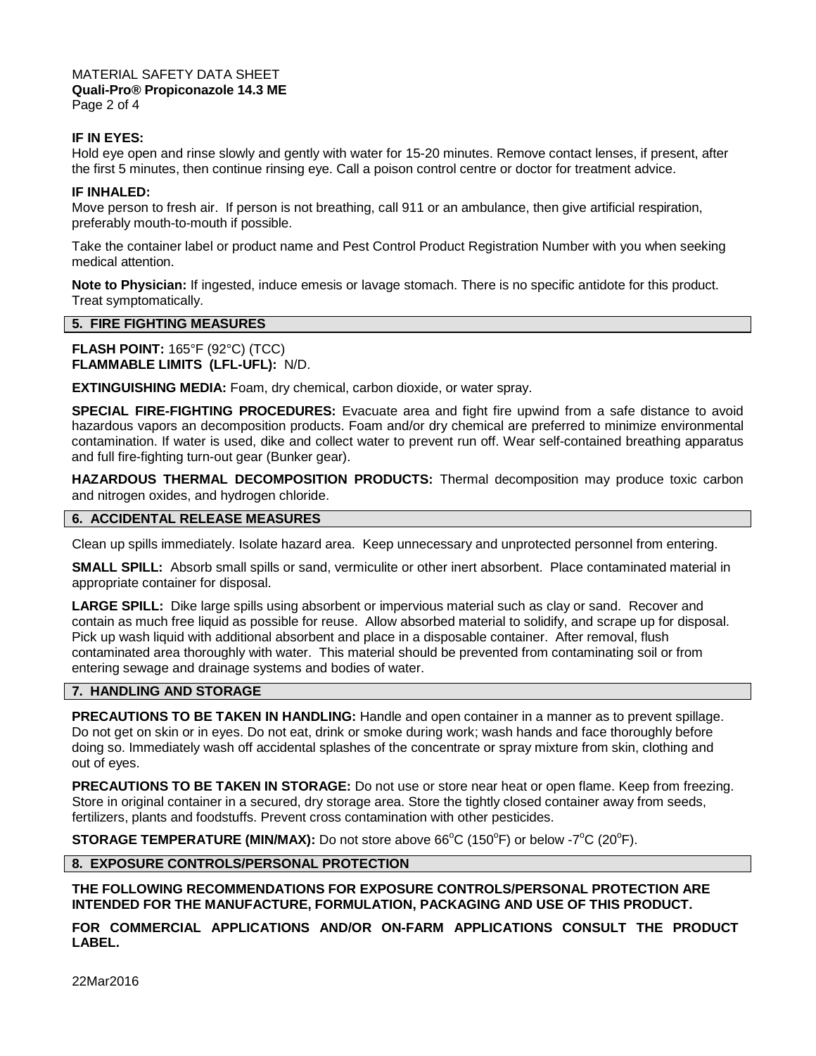# MATERIAL SAFETY DATA SHEET **Quali-Pro® Propiconazole 14.3 ME**

Page 2 of 4

# **IF IN EYES:**

Hold eye open and rinse slowly and gently with water for 15-20 minutes. Remove contact lenses, if present, after the first 5 minutes, then continue rinsing eye. Call a poison control centre or doctor for treatment advice.

#### **IF INHALED:**

Move person to fresh air. If person is not breathing, call 911 or an ambulance, then give artificial respiration, preferably mouth-to-mouth if possible.

Take the container label or product name and Pest Control Product Registration Number with you when seeking medical attention.

**Note to Physician:** If ingested, induce emesis or lavage stomach. There is no specific antidote for this product. Treat symptomatically.

# **5. FIRE FIGHTING MEASURES**

**FLASH POINT:** 165°F (92°C) (TCC) **FLAMMABLE LIMITS (LFL-UFL):** N/D.

**EXTINGUISHING MEDIA:** Foam, dry chemical, carbon dioxide, or water spray.

**SPECIAL FIRE-FIGHTING PROCEDURES:** Evacuate area and fight fire upwind from a safe distance to avoid hazardous vapors an decomposition products. Foam and/or dry chemical are preferred to minimize environmental contamination. If water is used, dike and collect water to prevent run off. Wear self-contained breathing apparatus and full fire-fighting turn-out gear (Bunker gear).

**HAZARDOUS THERMAL DECOMPOSITION PRODUCTS:** Thermal decomposition may produce toxic carbon and nitrogen oxides, and hydrogen chloride.

# **6. ACCIDENTAL RELEASE MEASURES**

Clean up spills immediately. Isolate hazard area. Keep unnecessary and unprotected personnel from entering.

**SMALL SPILL:** Absorb small spills or sand, vermiculite or other inert absorbent. Place contaminated material in appropriate container for disposal.

**LARGE SPILL:** Dike large spills using absorbent or impervious material such as clay or sand. Recover and contain as much free liquid as possible for reuse. Allow absorbed material to solidify, and scrape up for disposal. Pick up wash liquid with additional absorbent and place in a disposable container. After removal, flush contaminated area thoroughly with water. This material should be prevented from contaminating soil or from entering sewage and drainage systems and bodies of water.

# **7. HANDLING AND STORAGE**

**PRECAUTIONS TO BE TAKEN IN HANDLING:** Handle and open container in a manner as to prevent spillage. Do not get on skin or in eyes. Do not eat, drink or smoke during work; wash hands and face thoroughly before doing so. Immediately wash off accidental splashes of the concentrate or spray mixture from skin, clothing and out of eyes.

**PRECAUTIONS TO BE TAKEN IN STORAGE:** Do not use or store near heat or open flame. Keep from freezing. Store in original container in a secured, dry storage area. Store the tightly closed container away from seeds, fertilizers, plants and foodstuffs. Prevent cross contamination with other pesticides.

**STORAGE TEMPERATURE (MIN/MAX):** Do not store above 66°C (150°F) or below -7°C (20°F).

# **8. EXPOSURE CONTROLS/PERSONAL PROTECTION**

**THE FOLLOWING RECOMMENDATIONS FOR EXPOSURE CONTROLS/PERSONAL PROTECTION ARE INTENDED FOR THE MANUFACTURE, FORMULATION, PACKAGING AND USE OF THIS PRODUCT.**

**FOR COMMERCIAL APPLICATIONS AND/OR ON-FARM APPLICATIONS CONSULT THE PRODUCT LABEL.**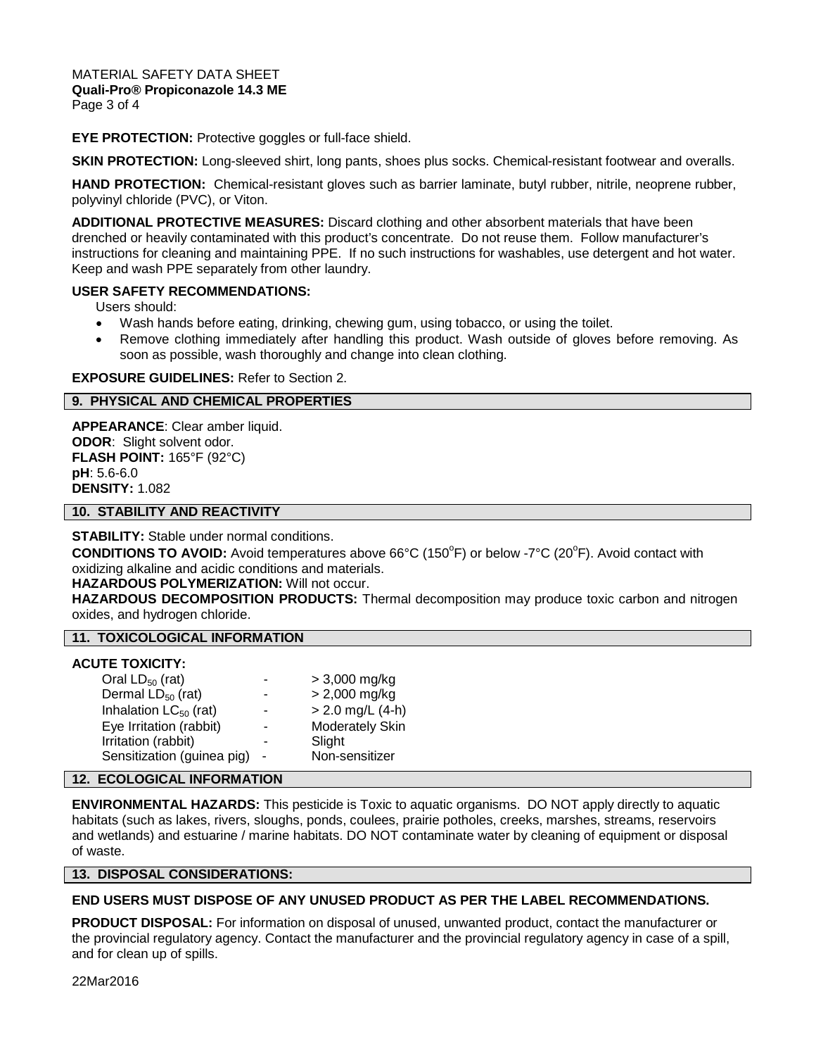MATERIAL SAFETY DATA SHEET **Quali-Pro® Propiconazole 14.3 ME** Page 3 of 4

**EYE PROTECTION:** Protective goggles or full-face shield.

**SKIN PROTECTION:** Long-sleeved shirt, long pants, shoes plus socks. Chemical-resistant footwear and overalls.

**HAND PROTECTION:** Chemical-resistant gloves such as barrier laminate, butyl rubber, nitrile, neoprene rubber, polyvinyl chloride (PVC), or Viton.

**ADDITIONAL PROTECTIVE MEASURES:** Discard clothing and other absorbent materials that have been drenched or heavily contaminated with this product's concentrate. Do not reuse them. Follow manufacturer's instructions for cleaning and maintaining PPE. If no such instructions for washables, use detergent and hot water. Keep and wash PPE separately from other laundry.

#### **USER SAFETY RECOMMENDATIONS:**

Users should:

- Wash hands before eating, drinking, chewing gum, using tobacco, or using the toilet.
- Remove clothing immediately after handling this product. Wash outside of gloves before removing. As soon as possible, wash thoroughly and change into clean clothing.

#### **EXPOSURE GUIDELINES:** Refer to Section 2.

#### **9. PHYSICAL AND CHEMICAL PROPERTIES**

**APPEARANCE**: Clear amber liquid. **ODOR**: Slight solvent odor. **FLASH POINT:** 165°F (92°C) **pH**: 5.6-6.0 **DENSITY:** 1.082

#### **10. STABILITY AND REACTIVITY**

**STABILITY:** Stable under normal conditions.

CONDITIONS TO AVOID: Avoid temperatures above 66°C (150°F) or below -7°C (20°F). Avoid contact with oxidizing alkaline and acidic conditions and materials.

#### **HAZARDOUS POLYMERIZATION:** Will not occur.

**HAZARDOUS DECOMPOSITION PRODUCTS:** Thermal decomposition may produce toxic carbon and nitrogen oxides, and hydrogen chloride.

# **11. TOXICOLOGICAL INFORMATION**

#### **ACUTE TOXICITY:**

| Oral $LD_{50}$ (rat)       | $\blacksquare$ | > 3,000 mg/kg          |
|----------------------------|----------------|------------------------|
| Dermal $LD_{50}$ (rat)     |                | $> 2,000$ mg/kg        |
| Inhalation $LC_{50}$ (rat) |                | $> 2.0$ mg/L (4-h)     |
| Eye Irritation (rabbit)    |                | <b>Moderately Skin</b> |
| Irritation (rabbit)        |                | Slight                 |
| Sensitization (guinea pig) |                | Non-sensitizer         |

# **12. ECOLOGICAL INFORMATION**

**ENVIRONMENTAL HAZARDS:** This pesticide is Toxic to aquatic organisms. DO NOT apply directly to aquatic habitats (such as lakes, rivers, sloughs, ponds, coulees, prairie potholes, creeks, marshes, streams, reservoirs and wetlands) and estuarine / marine habitats. DO NOT contaminate water by cleaning of equipment or disposal of waste.

#### **13. DISPOSAL CONSIDERATIONS:**

#### **END USERS MUST DISPOSE OF ANY UNUSED PRODUCT AS PER THE LABEL RECOMMENDATIONS.**

**PRODUCT DISPOSAL:** For information on disposal of unused, unwanted product, contact the manufacturer or the provincial regulatory agency. Contact the manufacturer and the provincial regulatory agency in case of a spill, and for clean up of spills.

22Mar2016